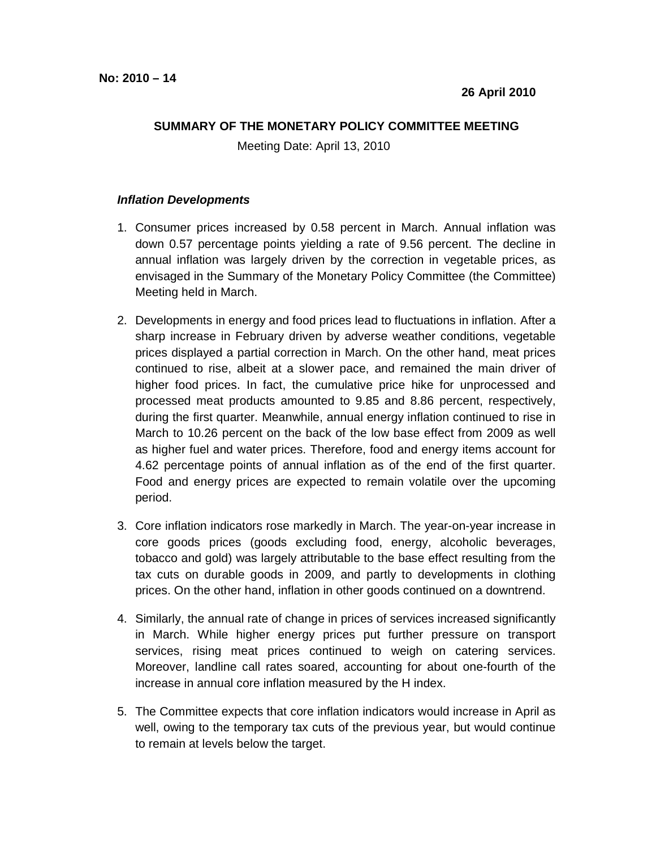## **SUMMARY OF THE MONETARY POLICY COMMITTEE MEETING**

Meeting Date: April 13, 2010

## **Inflation Developments**

- 1. Consumer prices increased by 0.58 percent in March. Annual inflation was down 0.57 percentage points yielding a rate of 9.56 percent. The decline in annual inflation was largely driven by the correction in vegetable prices, as envisaged in the Summary of the Monetary Policy Committee (the Committee) Meeting held in March.
- 2. Developments in energy and food prices lead to fluctuations in inflation. After a sharp increase in February driven by adverse weather conditions, vegetable prices displayed a partial correction in March. On the other hand, meat prices continued to rise, albeit at a slower pace, and remained the main driver of higher food prices. In fact, the cumulative price hike for unprocessed and processed meat products amounted to 9.85 and 8.86 percent, respectively, during the first quarter. Meanwhile, annual energy inflation continued to rise in March to 10.26 percent on the back of the low base effect from 2009 as well as higher fuel and water prices. Therefore, food and energy items account for 4.62 percentage points of annual inflation as of the end of the first quarter. Food and energy prices are expected to remain volatile over the upcoming period.
- 3. Core inflation indicators rose markedly in March. The year-on-year increase in core goods prices (goods excluding food, energy, alcoholic beverages, tobacco and gold) was largely attributable to the base effect resulting from the tax cuts on durable goods in 2009, and partly to developments in clothing prices. On the other hand, inflation in other goods continued on a downtrend.
- 4. Similarly, the annual rate of change in prices of services increased significantly in March. While higher energy prices put further pressure on transport services, rising meat prices continued to weigh on catering services. Moreover, landline call rates soared, accounting for about one-fourth of the increase in annual core inflation measured by the H index.
- 5. The Committee expects that core inflation indicators would increase in April as well, owing to the temporary tax cuts of the previous year, but would continue to remain at levels below the target.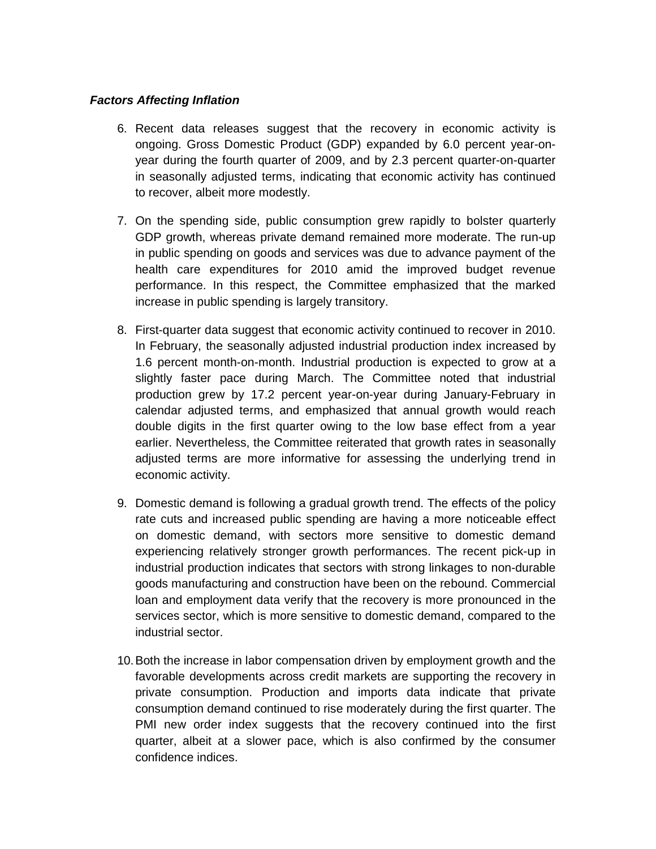## **Factors Affecting Inflation**

- 6. Recent data releases suggest that the recovery in economic activity is ongoing. Gross Domestic Product (GDP) expanded by 6.0 percent year-onyear during the fourth quarter of 2009, and by 2.3 percent quarter-on-quarter in seasonally adjusted terms, indicating that economic activity has continued to recover, albeit more modestly.
- 7. On the spending side, public consumption grew rapidly to bolster quarterly GDP growth, whereas private demand remained more moderate. The run-up in public spending on goods and services was due to advance payment of the health care expenditures for 2010 amid the improved budget revenue performance. In this respect, the Committee emphasized that the marked increase in public spending is largely transitory.
- 8. First-quarter data suggest that economic activity continued to recover in 2010. In February, the seasonally adjusted industrial production index increased by 1.6 percent month-on-month. Industrial production is expected to grow at a slightly faster pace during March. The Committee noted that industrial production grew by 17.2 percent year-on-year during January-February in calendar adjusted terms, and emphasized that annual growth would reach double digits in the first quarter owing to the low base effect from a year earlier. Nevertheless, the Committee reiterated that growth rates in seasonally adjusted terms are more informative for assessing the underlying trend in economic activity.
- 9. Domestic demand is following a gradual growth trend. The effects of the policy rate cuts and increased public spending are having a more noticeable effect on domestic demand, with sectors more sensitive to domestic demand experiencing relatively stronger growth performances. The recent pick-up in industrial production indicates that sectors with strong linkages to non-durable goods manufacturing and construction have been on the rebound. Commercial loan and employment data verify that the recovery is more pronounced in the services sector, which is more sensitive to domestic demand, compared to the industrial sector.
- 10. Both the increase in labor compensation driven by employment growth and the favorable developments across credit markets are supporting the recovery in private consumption. Production and imports data indicate that private consumption demand continued to rise moderately during the first quarter. The PMI new order index suggests that the recovery continued into the first quarter, albeit at a slower pace, which is also confirmed by the consumer confidence indices.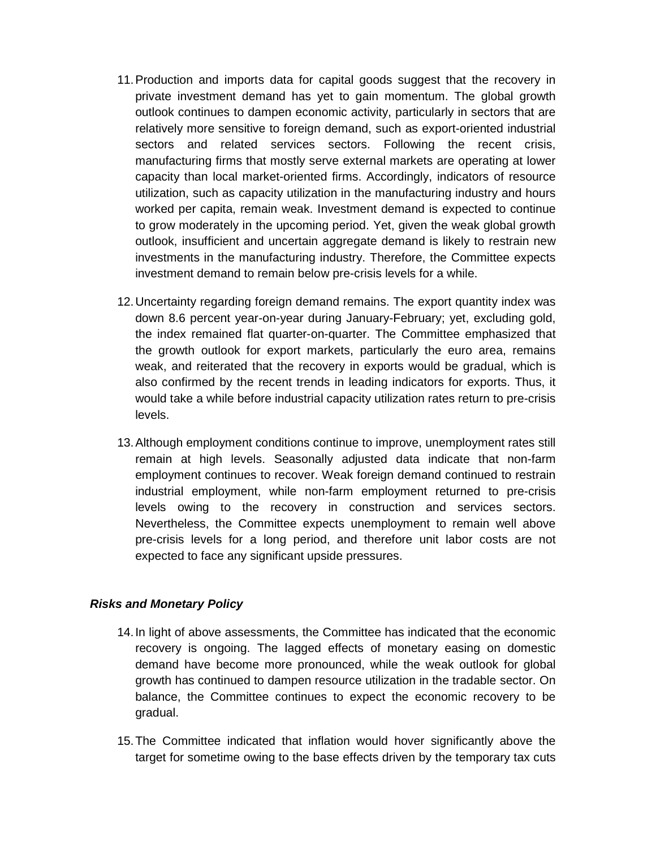- 11. Production and imports data for capital goods suggest that the recovery in private investment demand has yet to gain momentum. The global growth outlook continues to dampen economic activity, particularly in sectors that are relatively more sensitive to foreign demand, such as export-oriented industrial sectors and related services sectors. Following the recent crisis, manufacturing firms that mostly serve external markets are operating at lower capacity than local market-oriented firms. Accordingly, indicators of resource utilization, such as capacity utilization in the manufacturing industry and hours worked per capita, remain weak. Investment demand is expected to continue to grow moderately in the upcoming period. Yet, given the weak global growth outlook, insufficient and uncertain aggregate demand is likely to restrain new investments in the manufacturing industry. Therefore, the Committee expects investment demand to remain below pre-crisis levels for a while.
- 12. Uncertainty regarding foreign demand remains. The export quantity index was down 8.6 percent year-on-year during January-February; yet, excluding gold, the index remained flat quarter-on-quarter. The Committee emphasized that the growth outlook for export markets, particularly the euro area, remains weak, and reiterated that the recovery in exports would be gradual, which is also confirmed by the recent trends in leading indicators for exports. Thus, it would take a while before industrial capacity utilization rates return to pre-crisis levels.
- 13. Although employment conditions continue to improve, unemployment rates still remain at high levels. Seasonally adjusted data indicate that non-farm employment continues to recover. Weak foreign demand continued to restrain industrial employment, while non-farm employment returned to pre-crisis levels owing to the recovery in construction and services sectors. Nevertheless, the Committee expects unemployment to remain well above pre-crisis levels for a long period, and therefore unit labor costs are not expected to face any significant upside pressures.

## **Risks and Monetary Policy**

- 14. In light of above assessments, the Committee has indicated that the economic recovery is ongoing. The lagged effects of monetary easing on domestic demand have become more pronounced, while the weak outlook for global growth has continued to dampen resource utilization in the tradable sector. On balance, the Committee continues to expect the economic recovery to be gradual.
- 15. The Committee indicated that inflation would hover significantly above the target for sometime owing to the base effects driven by the temporary tax cuts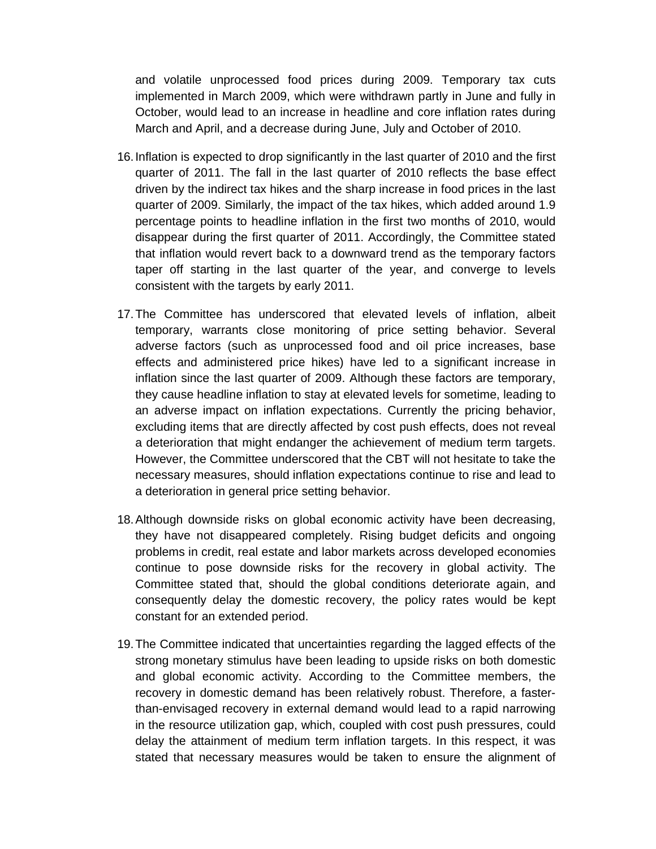and volatile unprocessed food prices during 2009. Temporary tax cuts implemented in March 2009, which were withdrawn partly in June and fully in October, would lead to an increase in headline and core inflation rates during March and April, and a decrease during June, July and October of 2010.

- 16. Inflation is expected to drop significantly in the last quarter of 2010 and the first quarter of 2011. The fall in the last quarter of 2010 reflects the base effect driven by the indirect tax hikes and the sharp increase in food prices in the last quarter of 2009. Similarly, the impact of the tax hikes, which added around 1.9 percentage points to headline inflation in the first two months of 2010, would disappear during the first quarter of 2011. Accordingly, the Committee stated that inflation would revert back to a downward trend as the temporary factors taper off starting in the last quarter of the year, and converge to levels consistent with the targets by early 2011.
- 17. The Committee has underscored that elevated levels of inflation, albeit temporary, warrants close monitoring of price setting behavior. Several adverse factors (such as unprocessed food and oil price increases, base effects and administered price hikes) have led to a significant increase in inflation since the last quarter of 2009. Although these factors are temporary, they cause headline inflation to stay at elevated levels for sometime, leading to an adverse impact on inflation expectations. Currently the pricing behavior, excluding items that are directly affected by cost push effects, does not reveal a deterioration that might endanger the achievement of medium term targets. However, the Committee underscored that the CBT will not hesitate to take the necessary measures, should inflation expectations continue to rise and lead to a deterioration in general price setting behavior.
- 18. Although downside risks on global economic activity have been decreasing, they have not disappeared completely. Rising budget deficits and ongoing problems in credit, real estate and labor markets across developed economies continue to pose downside risks for the recovery in global activity. The Committee stated that, should the global conditions deteriorate again, and consequently delay the domestic recovery, the policy rates would be kept constant for an extended period.
- 19. The Committee indicated that uncertainties regarding the lagged effects of the strong monetary stimulus have been leading to upside risks on both domestic and global economic activity. According to the Committee members, the recovery in domestic demand has been relatively robust. Therefore, a fasterthan-envisaged recovery in external demand would lead to a rapid narrowing in the resource utilization gap, which, coupled with cost push pressures, could delay the attainment of medium term inflation targets. In this respect, it was stated that necessary measures would be taken to ensure the alignment of